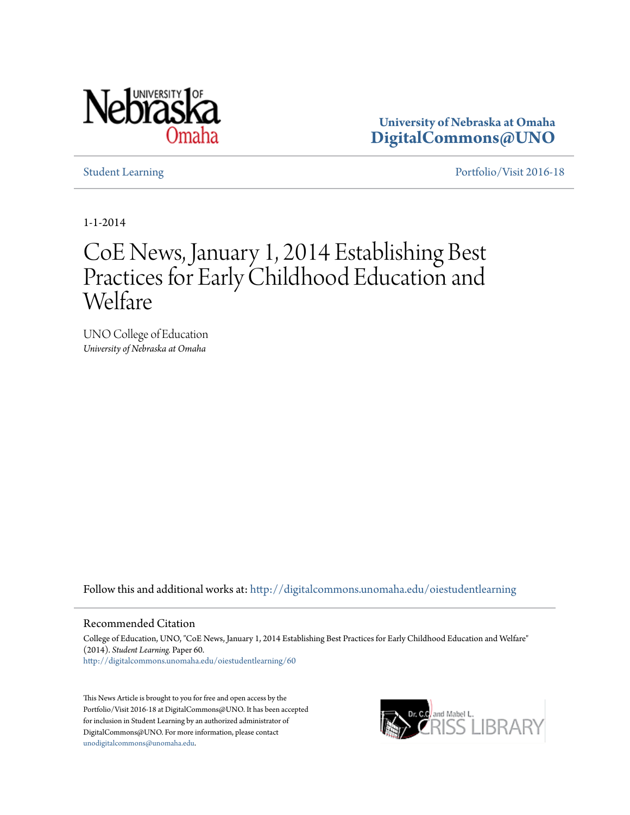

**University of Nebraska at Omaha [DigitalCommons@UNO](http://digitalcommons.unomaha.edu?utm_source=digitalcommons.unomaha.edu%2Foiestudentlearning%2F60&utm_medium=PDF&utm_campaign=PDFCoverPages)**

[Student Learning](http://digitalcommons.unomaha.edu/oiestudentlearning?utm_source=digitalcommons.unomaha.edu%2Foiestudentlearning%2F60&utm_medium=PDF&utm_campaign=PDFCoverPages) **[Portfolio/Visit 2016-18](http://digitalcommons.unomaha.edu/oieportfolio?utm_source=digitalcommons.unomaha.edu%2Foiestudentlearning%2F60&utm_medium=PDF&utm_campaign=PDFCoverPages)** 

1-1-2014

## CoE News, January 1, 2014 Establishing Best Practices for Early Childhood Education and Welfare

UNO College of Education *University of Nebraska at Omaha*

Follow this and additional works at: [http://digitalcommons.unomaha.edu/oiestudentlearning](http://digitalcommons.unomaha.edu/oiestudentlearning?utm_source=digitalcommons.unomaha.edu%2Foiestudentlearning%2F60&utm_medium=PDF&utm_campaign=PDFCoverPages)

## Recommended Citation

College of Education, UNO, "CoE News, January 1, 2014 Establishing Best Practices for Early Childhood Education and Welfare" (2014). *Student Learning.* Paper 60. [http://digitalcommons.unomaha.edu/oiestudentlearning/60](http://digitalcommons.unomaha.edu/oiestudentlearning/60?utm_source=digitalcommons.unomaha.edu%2Foiestudentlearning%2F60&utm_medium=PDF&utm_campaign=PDFCoverPages)

This News Article is brought to you for free and open access by the Portfolio/Visit 2016-18 at DigitalCommons@UNO. It has been accepted for inclusion in Student Learning by an authorized administrator of DigitalCommons@UNO. For more information, please contact [unodigitalcommons@unomaha.edu](mailto:unodigitalcommons@unomaha.edu).